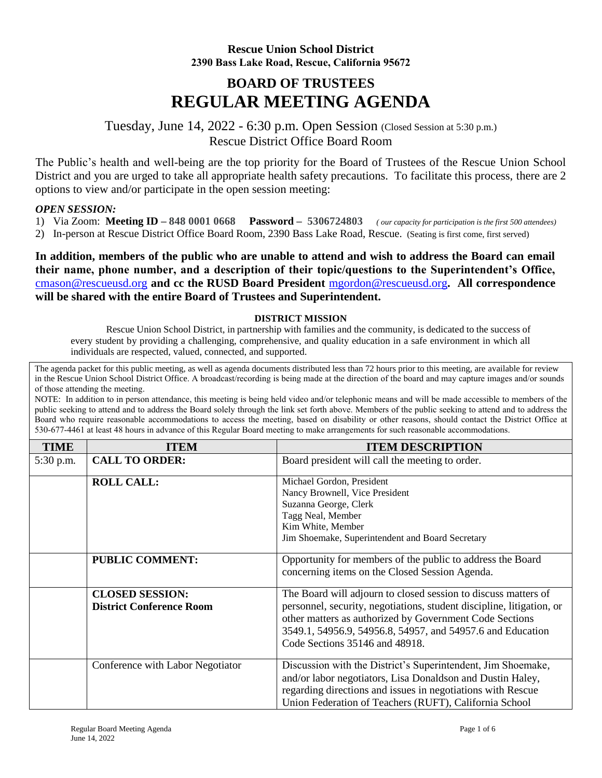## **Rescue Union School District 2390 Bass Lake Road, Rescue, California 95672**

## **BOARD OF TRUSTEES REGULAR MEETING AGENDA**

Tuesday, June 14, 2022 - 6:30 p.m. Open Session (Closed Session at 5:30 p.m.) Rescue District Office Board Room

The Public's health and well-being are the top priority for the Board of Trustees of the Rescue Union School District and you are urged to take all appropriate health safety precautions. To facilitate this process, there are 2 options to view and/or participate in the open session meeting:

## *OPEN SESSION:*

- 1) Via Zoom: **Meeting ID – 848 0001 0668 Password – 5306724803** *( our capacity for participation is the first 500 attendees)*
- 2) In-person at Rescue District Office Board Room, 2390 Bass Lake Road, Rescue. (Seating is first come, first served)

**In addition, members of the public who are unable to attend and wish to address the Board can email their name, phone number, and a description of their topic/questions to the Superintendent's Office,**  [cmason@rescueusd.org](mailto:cmason@rescueusd.org) **and cc the RUSD Board President** [mgordon@rescueusd.org](mailto:mgordon@rescueusd.org)**. All correspondence will be shared with the entire Board of Trustees and Superintendent.** 

## **DISTRICT MISSION**

Rescue Union School District, in partnership with families and the community, is dedicated to the success of every student by providing a challenging, comprehensive, and quality education in a safe environment in which all individuals are respected, valued, connected, and supported.

The agenda packet for this public meeting, as well as agenda documents distributed less than 72 hours prior to this meeting, are available for review in the Rescue Union School District Office. A broadcast/recording is being made at the direction of the board and may capture images and/or sounds of those attending the meeting.

NOTE: In addition to in person attendance, this meeting is being held video and/or telephonic means and will be made accessible to members of the public seeking to attend and to address the Board solely through the link set forth above. Members of the public seeking to attend and to address the Board who require reasonable accommodations to access the meeting, based on disability or other reasons, should contact the District Office at 530-677-4461 at least 48 hours in advance of this Regular Board meeting to make arrangements for such reasonable accommodations.

| <b>TIME</b> | <b>ITEM</b>                      | <b>ITEM DESCRIPTION</b>                                               |
|-------------|----------------------------------|-----------------------------------------------------------------------|
| 5:30 p.m.   | <b>CALL TO ORDER:</b>            | Board president will call the meeting to order.                       |
|             | <b>ROLL CALL:</b>                | Michael Gordon, President                                             |
|             |                                  | Nancy Brownell, Vice President                                        |
|             |                                  | Suzanna George, Clerk                                                 |
|             |                                  | Tagg Neal, Member                                                     |
|             |                                  | Kim White, Member                                                     |
|             |                                  | Jim Shoemake, Superintendent and Board Secretary                      |
|             | <b>PUBLIC COMMENT:</b>           | Opportunity for members of the public to address the Board            |
|             |                                  | concerning items on the Closed Session Agenda.                        |
|             | <b>CLOSED SESSION:</b>           | The Board will adjourn to closed session to discuss matters of        |
|             | <b>District Conference Room</b>  | personnel, security, negotiations, student discipline, litigation, or |
|             |                                  | other matters as authorized by Government Code Sections               |
|             |                                  | 3549.1, 54956.9, 54956.8, 54957, and 54957.6 and Education            |
|             |                                  | Code Sections 35146 and 48918.                                        |
|             | Conference with Labor Negotiator | Discussion with the District's Superintendent, Jim Shoemake,          |
|             |                                  | and/or labor negotiators, Lisa Donaldson and Dustin Haley,            |
|             |                                  | regarding directions and issues in negotiations with Rescue           |
|             |                                  | Union Federation of Teachers (RUFT), California School                |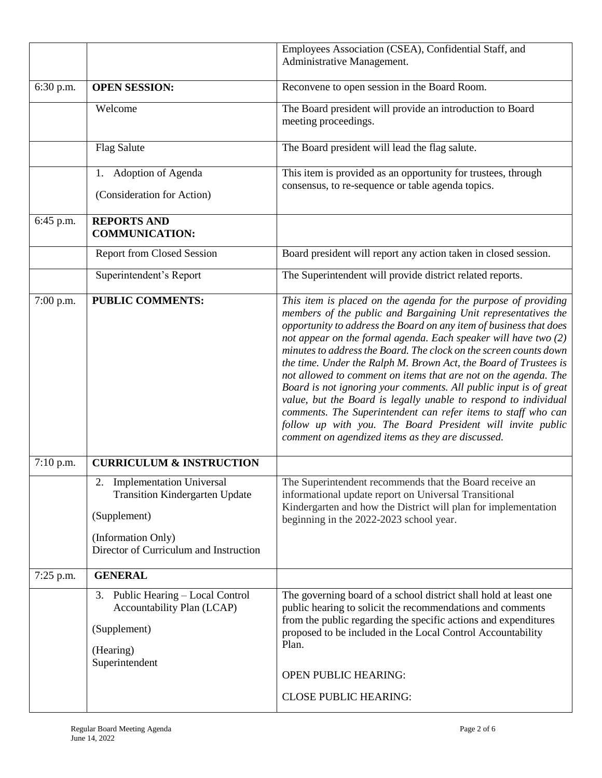|             |                                                                                                                                                      | Employees Association (CSEA), Confidential Staff, and<br>Administrative Management.                                                                                                                                                                                                                                                                                                                                                                                                                                                                                                                                                                                                                                                                                                                              |
|-------------|------------------------------------------------------------------------------------------------------------------------------------------------------|------------------------------------------------------------------------------------------------------------------------------------------------------------------------------------------------------------------------------------------------------------------------------------------------------------------------------------------------------------------------------------------------------------------------------------------------------------------------------------------------------------------------------------------------------------------------------------------------------------------------------------------------------------------------------------------------------------------------------------------------------------------------------------------------------------------|
| 6:30 p.m.   | <b>OPEN SESSION:</b>                                                                                                                                 | Reconvene to open session in the Board Room.                                                                                                                                                                                                                                                                                                                                                                                                                                                                                                                                                                                                                                                                                                                                                                     |
|             | Welcome                                                                                                                                              | The Board president will provide an introduction to Board<br>meeting proceedings.                                                                                                                                                                                                                                                                                                                                                                                                                                                                                                                                                                                                                                                                                                                                |
|             | <b>Flag Salute</b>                                                                                                                                   | The Board president will lead the flag salute.                                                                                                                                                                                                                                                                                                                                                                                                                                                                                                                                                                                                                                                                                                                                                                   |
|             | 1. Adoption of Agenda<br>(Consideration for Action)                                                                                                  | This item is provided as an opportunity for trustees, through<br>consensus, to re-sequence or table agenda topics.                                                                                                                                                                                                                                                                                                                                                                                                                                                                                                                                                                                                                                                                                               |
| 6:45 p.m.   | <b>REPORTS AND</b><br><b>COMMUNICATION:</b>                                                                                                          |                                                                                                                                                                                                                                                                                                                                                                                                                                                                                                                                                                                                                                                                                                                                                                                                                  |
|             | <b>Report from Closed Session</b>                                                                                                                    | Board president will report any action taken in closed session.                                                                                                                                                                                                                                                                                                                                                                                                                                                                                                                                                                                                                                                                                                                                                  |
|             | Superintendent's Report                                                                                                                              | The Superintendent will provide district related reports.                                                                                                                                                                                                                                                                                                                                                                                                                                                                                                                                                                                                                                                                                                                                                        |
| 7:00 p.m.   | <b>PUBLIC COMMENTS:</b>                                                                                                                              | This item is placed on the agenda for the purpose of providing<br>members of the public and Bargaining Unit representatives the<br>opportunity to address the Board on any item of business that does<br>not appear on the formal agenda. Each speaker will have two (2)<br>minutes to address the Board. The clock on the screen counts down<br>the time. Under the Ralph M. Brown Act, the Board of Trustees is<br>not allowed to comment on items that are not on the agenda. The<br>Board is not ignoring your comments. All public input is of great<br>value, but the Board is legally unable to respond to individual<br>comments. The Superintendent can refer items to staff who can<br>follow up with you. The Board President will invite public<br>comment on agendized items as they are discussed. |
| $7:10$ p.m. | <b>CURRICULUM &amp; INSTRUCTION</b>                                                                                                                  |                                                                                                                                                                                                                                                                                                                                                                                                                                                                                                                                                                                                                                                                                                                                                                                                                  |
|             | 2. Implementation Universal<br><b>Transition Kindergarten Update</b><br>(Supplement)<br>(Information Only)<br>Director of Curriculum and Instruction | The Superintendent recommends that the Board receive an<br>informational update report on Universal Transitional<br>Kindergarten and how the District will plan for implementation<br>beginning in the 2022-2023 school year.                                                                                                                                                                                                                                                                                                                                                                                                                                                                                                                                                                                    |
| $7:25$ p.m. | <b>GENERAL</b>                                                                                                                                       |                                                                                                                                                                                                                                                                                                                                                                                                                                                                                                                                                                                                                                                                                                                                                                                                                  |
|             | Public Hearing - Local Control<br>3.<br>Accountability Plan (LCAP)<br>(Supplement)<br>(Hearing)<br>Superintendent                                    | The governing board of a school district shall hold at least one<br>public hearing to solicit the recommendations and comments<br>from the public regarding the specific actions and expenditures<br>proposed to be included in the Local Control Accountability<br>Plan.<br><b>OPEN PUBLIC HEARING:</b><br><b>CLOSE PUBLIC HEARING:</b>                                                                                                                                                                                                                                                                                                                                                                                                                                                                         |
|             |                                                                                                                                                      |                                                                                                                                                                                                                                                                                                                                                                                                                                                                                                                                                                                                                                                                                                                                                                                                                  |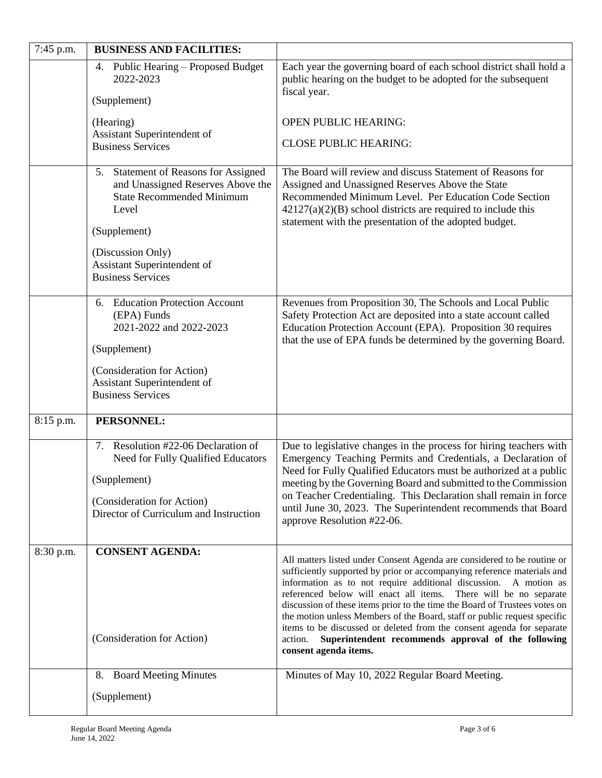| 7:45 p.m. | <b>BUSINESS AND FACILITIES:</b>                                                                                                                                                    |                                                                                                                                                                                                                                                                                                                                                                                                                                                                                                                                                                                                                          |
|-----------|------------------------------------------------------------------------------------------------------------------------------------------------------------------------------------|--------------------------------------------------------------------------------------------------------------------------------------------------------------------------------------------------------------------------------------------------------------------------------------------------------------------------------------------------------------------------------------------------------------------------------------------------------------------------------------------------------------------------------------------------------------------------------------------------------------------------|
|           | 4. Public Hearing - Proposed Budget<br>2022-2023<br>(Supplement)                                                                                                                   | Each year the governing board of each school district shall hold a<br>public hearing on the budget to be adopted for the subsequent<br>fiscal year.                                                                                                                                                                                                                                                                                                                                                                                                                                                                      |
|           | (Hearing)<br>Assistant Superintendent of<br><b>Business Services</b>                                                                                                               | <b>OPEN PUBLIC HEARING:</b><br><b>CLOSE PUBLIC HEARING:</b>                                                                                                                                                                                                                                                                                                                                                                                                                                                                                                                                                              |
|           | 5. Statement of Reasons for Assigned<br>and Unassigned Reserves Above the<br><b>State Recommended Minimum</b><br>Level<br>(Supplement)                                             | The Board will review and discuss Statement of Reasons for<br>Assigned and Unassigned Reserves Above the State<br>Recommended Minimum Level. Per Education Code Section<br>$42127(a)(2)(B)$ school districts are required to include this<br>statement with the presentation of the adopted budget.                                                                                                                                                                                                                                                                                                                      |
|           | (Discussion Only)<br>Assistant Superintendent of<br><b>Business Services</b>                                                                                                       |                                                                                                                                                                                                                                                                                                                                                                                                                                                                                                                                                                                                                          |
|           | 6. Education Protection Account<br>(EPA) Funds<br>2021-2022 and 2022-2023<br>(Supplement)<br>(Consideration for Action)<br>Assistant Superintendent of<br><b>Business Services</b> | Revenues from Proposition 30, The Schools and Local Public<br>Safety Protection Act are deposited into a state account called<br>Education Protection Account (EPA). Proposition 30 requires<br>that the use of EPA funds be determined by the governing Board.                                                                                                                                                                                                                                                                                                                                                          |
| 8:15 p.m. | PERSONNEL:                                                                                                                                                                         |                                                                                                                                                                                                                                                                                                                                                                                                                                                                                                                                                                                                                          |
|           | 7. Resolution #22-06 Declaration of<br>Need for Fully Qualified Educators<br>(Supplement)<br>(Consideration for Action)<br>Director of Curriculum and Instruction                  | Due to legislative changes in the process for hiring teachers with<br>Emergency Teaching Permits and Credentials, a Declaration of<br>Need for Fully Qualified Educators must be authorized at a public<br>meeting by the Governing Board and submitted to the Commission<br>on Teacher Credentialing. This Declaration shall remain in force<br>until June 30, 2023. The Superintendent recommends that Board<br>approve Resolution #22-06.                                                                                                                                                                             |
| 8:30 p.m. | <b>CONSENT AGENDA:</b><br>(Consideration for Action)                                                                                                                               | All matters listed under Consent Agenda are considered to be routine or<br>sufficiently supported by prior or accompanying reference materials and<br>information as to not require additional discussion. A motion as<br>referenced below will enact all items. There will be no separate<br>discussion of these items prior to the time the Board of Trustees votes on<br>the motion unless Members of the Board, staff or public request specific<br>items to be discussed or deleted from the consent agenda for separate<br>Superintendent recommends approval of the following<br>action.<br>consent agenda items. |
|           | <b>Board Meeting Minutes</b><br>8.                                                                                                                                                 | Minutes of May 10, 2022 Regular Board Meeting.                                                                                                                                                                                                                                                                                                                                                                                                                                                                                                                                                                           |
|           | (Supplement)                                                                                                                                                                       |                                                                                                                                                                                                                                                                                                                                                                                                                                                                                                                                                                                                                          |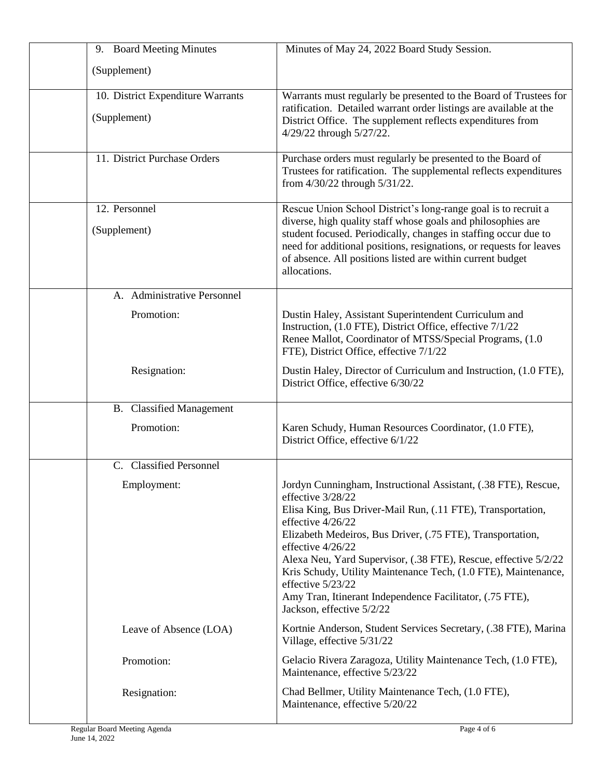| 9. Board Meeting Minutes          | Minutes of May 24, 2022 Board Study Session.                                                                                                                                                                                                                                                                                                                                                                                                                                                                  |
|-----------------------------------|---------------------------------------------------------------------------------------------------------------------------------------------------------------------------------------------------------------------------------------------------------------------------------------------------------------------------------------------------------------------------------------------------------------------------------------------------------------------------------------------------------------|
| (Supplement)                      |                                                                                                                                                                                                                                                                                                                                                                                                                                                                                                               |
| 10. District Expenditure Warrants | Warrants must regularly be presented to the Board of Trustees for                                                                                                                                                                                                                                                                                                                                                                                                                                             |
| (Supplement)                      | ratification. Detailed warrant order listings are available at the<br>District Office. The supplement reflects expenditures from<br>4/29/22 through 5/27/22.                                                                                                                                                                                                                                                                                                                                                  |
| 11. District Purchase Orders      | Purchase orders must regularly be presented to the Board of<br>Trustees for ratification. The supplemental reflects expenditures<br>from 4/30/22 through 5/31/22.                                                                                                                                                                                                                                                                                                                                             |
| 12. Personnel                     | Rescue Union School District's long-range goal is to recruit a                                                                                                                                                                                                                                                                                                                                                                                                                                                |
| (Supplement)                      | diverse, high quality staff whose goals and philosophies are<br>student focused. Periodically, changes in staffing occur due to<br>need for additional positions, resignations, or requests for leaves<br>of absence. All positions listed are within current budget<br>allocations.                                                                                                                                                                                                                          |
| A. Administrative Personnel       |                                                                                                                                                                                                                                                                                                                                                                                                                                                                                                               |
| Promotion:                        | Dustin Haley, Assistant Superintendent Curriculum and<br>Instruction, (1.0 FTE), District Office, effective 7/1/22<br>Renee Mallot, Coordinator of MTSS/Special Programs, (1.0<br>FTE), District Office, effective 7/1/22                                                                                                                                                                                                                                                                                     |
| Resignation:                      | Dustin Haley, Director of Curriculum and Instruction, (1.0 FTE),<br>District Office, effective 6/30/22                                                                                                                                                                                                                                                                                                                                                                                                        |
| <b>B.</b> Classified Management   |                                                                                                                                                                                                                                                                                                                                                                                                                                                                                                               |
| Promotion:                        | Karen Schudy, Human Resources Coordinator, (1.0 FTE),<br>District Office, effective 6/1/22                                                                                                                                                                                                                                                                                                                                                                                                                    |
| C. Classified Personnel           |                                                                                                                                                                                                                                                                                                                                                                                                                                                                                                               |
| Employment:                       | Jordyn Cunningham, Instructional Assistant, (.38 FTE), Rescue,<br>effective 3/28/22<br>Elisa King, Bus Driver-Mail Run, (.11 FTE), Transportation,<br>effective 4/26/22<br>Elizabeth Medeiros, Bus Driver, (.75 FTE), Transportation,<br>effective 4/26/22<br>Alexa Neu, Yard Supervisor, (.38 FTE), Rescue, effective 5/2/22<br>Kris Schudy, Utility Maintenance Tech, (1.0 FTE), Maintenance,<br>effective 5/23/22<br>Amy Tran, Itinerant Independence Facilitator, (.75 FTE),<br>Jackson, effective 5/2/22 |
| Leave of Absence (LOA)            | Kortnie Anderson, Student Services Secretary, (.38 FTE), Marina<br>Village, effective 5/31/22                                                                                                                                                                                                                                                                                                                                                                                                                 |
| Promotion:                        | Gelacio Rivera Zaragoza, Utility Maintenance Tech, (1.0 FTE),<br>Maintenance, effective 5/23/22                                                                                                                                                                                                                                                                                                                                                                                                               |
| Resignation:                      | Chad Bellmer, Utility Maintenance Tech, (1.0 FTE),<br>Maintenance, effective 5/20/22                                                                                                                                                                                                                                                                                                                                                                                                                          |
| Regular Board Meeting Agenda      | Page 4 of 6                                                                                                                                                                                                                                                                                                                                                                                                                                                                                                   |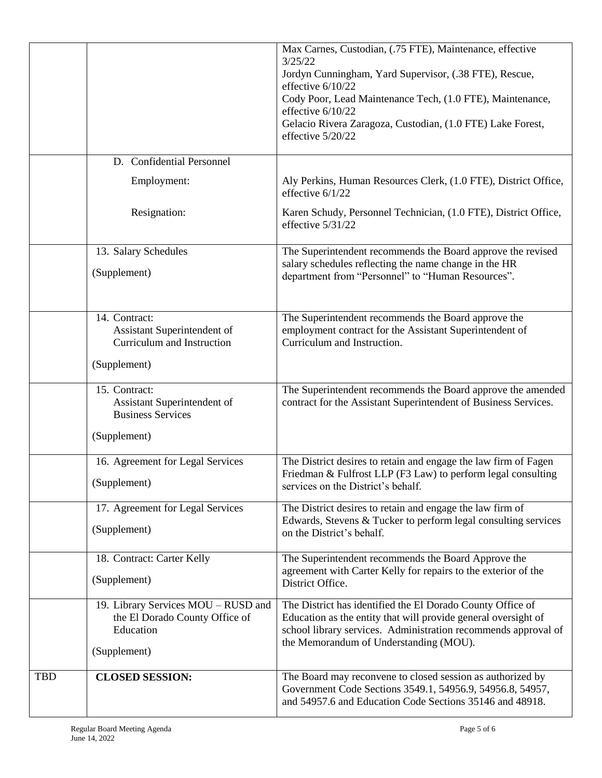|            |                                                                                                    | Max Carnes, Custodian, (.75 FTE), Maintenance, effective<br>3/25/22<br>Jordyn Cunningham, Yard Supervisor, (.38 FTE), Rescue,<br>effective 6/10/22<br>Cody Poor, Lead Maintenance Tech, (1.0 FTE), Maintenance,<br>effective 6/10/22<br>Gelacio Rivera Zaragoza, Custodian, (1.0 FTE) Lake Forest,<br>effective 5/20/22 |
|------------|----------------------------------------------------------------------------------------------------|-------------------------------------------------------------------------------------------------------------------------------------------------------------------------------------------------------------------------------------------------------------------------------------------------------------------------|
|            | D. Confidential Personnel                                                                          |                                                                                                                                                                                                                                                                                                                         |
|            | Employment:                                                                                        | Aly Perkins, Human Resources Clerk, (1.0 FTE), District Office,<br>effective $6/1/22$                                                                                                                                                                                                                                   |
|            | Resignation:                                                                                       | Karen Schudy, Personnel Technician, (1.0 FTE), District Office,<br>effective 5/31/22                                                                                                                                                                                                                                    |
|            | 13. Salary Schedules<br>(Supplement)                                                               | The Superintendent recommends the Board approve the revised<br>salary schedules reflecting the name change in the HR<br>department from "Personnel" to "Human Resources".                                                                                                                                               |
|            | 14. Contract:<br>Assistant Superintendent of<br>Curriculum and Instruction                         | The Superintendent recommends the Board approve the<br>employment contract for the Assistant Superintendent of<br>Curriculum and Instruction.                                                                                                                                                                           |
|            | (Supplement)                                                                                       |                                                                                                                                                                                                                                                                                                                         |
|            | 15. Contract:<br>Assistant Superintendent of<br><b>Business Services</b>                           | The Superintendent recommends the Board approve the amended<br>contract for the Assistant Superintendent of Business Services.                                                                                                                                                                                          |
|            | (Supplement)                                                                                       |                                                                                                                                                                                                                                                                                                                         |
|            | 16. Agreement for Legal Services<br>(Supplement)                                                   | The District desires to retain and engage the law firm of Fagen<br>Friedman & Fulfrost LLP (F3 Law) to perform legal consulting<br>services on the District's behalf.                                                                                                                                                   |
|            | 17. Agreement for Legal Services<br>(Supplement)                                                   | The District desires to retain and engage the law firm of<br>Edwards, Stevens & Tucker to perform legal consulting services<br>on the District's behalf.                                                                                                                                                                |
|            | 18. Contract: Carter Kelly<br>(Supplement)                                                         | The Superintendent recommends the Board Approve the<br>agreement with Carter Kelly for repairs to the exterior of the<br>District Office.                                                                                                                                                                               |
|            | 19. Library Services MOU - RUSD and<br>the El Dorado County Office of<br>Education<br>(Supplement) | The District has identified the El Dorado County Office of<br>Education as the entity that will provide general oversight of<br>school library services. Administration recommends approval of<br>the Memorandum of Understanding (MOU).                                                                                |
| <b>TBD</b> | <b>CLOSED SESSION:</b>                                                                             | The Board may reconvene to closed session as authorized by<br>Government Code Sections 3549.1, 54956.9, 54956.8, 54957,<br>and 54957.6 and Education Code Sections 35146 and 48918.                                                                                                                                     |